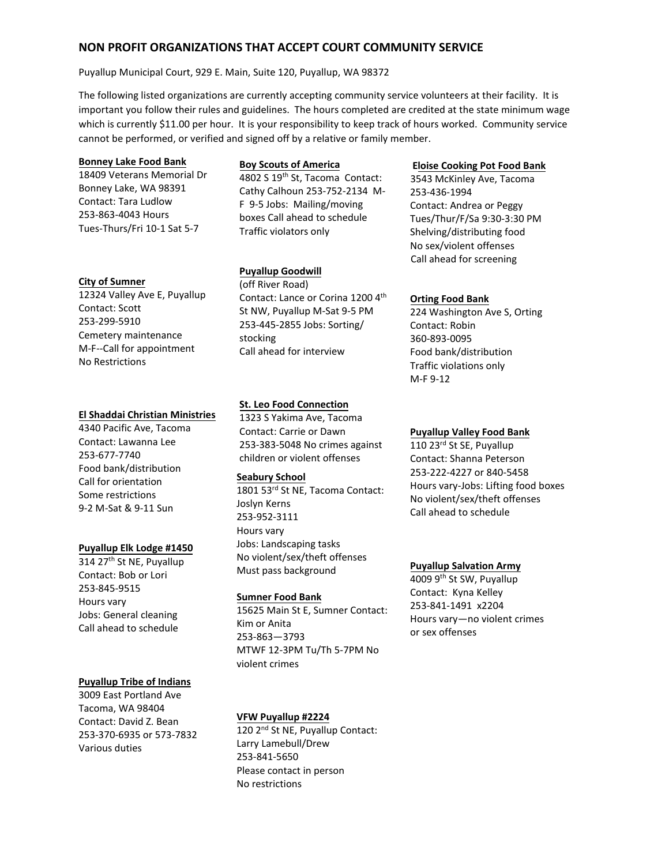# **NON PROFIT ORGANIZATIONS THAT ACCEPT COURT COMMUNITY SERVICE**

#### Puyallup Municipal Court, 929 E. Main, Suite 120, Puyallup, WA 98372

The following listed organizations are currently accepting community service volunteers at their facility. It is important you follow their rules and guidelines. The hours completed are credited at the state minimum wage which is currently \$11.00 per hour. It is your responsibility to keep track of hours worked. Community service cannot be performed, or verified and signed off by a relative or family member.

## **Bonney Lake Food Bank**

18409 Veterans Memorial Dr Bonney Lake, WA 98391 Contact: Tara Ludlow 253-863-4043 Hours Tues-Thurs/Fri 10-1 Sat 5-7

#### **City of Sumner**

12324 Valley Ave E, Puyallup Contact: Scott 253-299-5910 Cemetery maintenance M-F--Call for appointment No Restrictions

#### **El Shaddai Christian Ministries**

4340 Pacific Ave, Tacoma Contact: Lawanna Lee 253-677-7740 Food bank/distribution Call for orientation Some restrictions 9-2 M-Sat & 9-11 Sun

### **Puyallup Elk Lodge #1450**

314 27<sup>th</sup> St NE, Puyallup Contact: Bob or Lori 253-845-9515 Hours vary Jobs: General cleaning Call ahead to schedule

### **Puyallup Tribe of Indians**

3009 East Portland Ave Tacoma, WA 98404 Contact: David Z. Bean 253-370-6935 or 573-7832 Various duties

## **Boy Scouts of America**

4802 S 19<sup>th</sup> St, Tacoma Contact: Cathy Calhoun 253-752-2134 M-F 9-5 Jobs: Mailing/moving boxes Call ahead to schedule Traffic violators only

## **Puyallup Goodwill**

(off River Road) Contact: Lance or Corina 1200 4<sup>th</sup> St NW, Puyallup M-Sat 9-5 PM 253-445-2855 Jobs: Sorting/ stocking Call ahead for interview

## **St. Leo Food Connection**

1323 S Yakima Ave, Tacoma Contact: Carrie or Dawn 253-383-5048 No crimes against children or violent offenses

### **Seabury School**

1801 53rd St NE, Tacoma Contact: Joslyn Kerns 253-952-3111 Hours vary Jobs: Landscaping tasks No violent/sex/theft offenses Must pass background

### **Sumner Food Bank**

15625 Main St E, Sumner Contact: Kim or Anita 253-863—3793 MTWF 12-3PM Tu/Th 5-7PM No violent crimes

## **VFW Puyallup #2224**

120 2<sup>nd</sup> St NE, Puyallup Contact: Larry Lamebull/Drew 253-841-5650 Please contact in person No restrictions

#### **Eloise Cooking Pot Food Bank**

3543 McKinley Ave, Tacoma 253-436-1994 Contact: Andrea or Peggy Tues/Thur/F/Sa 9:30-3:30 PM Shelving/distributing food No sex/violent offenses Call ahead for screening

#### **Orting Food Bank**

224 Washington Ave S, Orting Contact: Robin 360-893-0095 Food bank/distribution Traffic violations only M-F 9-12

### **Puyallup Valley Food Bank**

110 23<sup>rd</sup> St SE, Puyallup Contact: Shanna Peterson 253-222-4227 or 840-5458 Hours vary-Jobs: Lifting food boxes No violent/sex/theft offenses Call ahead to schedule

### **Puyallup Salvation Army**

4009 9<sup>th</sup> St SW, Puyallup Contact: Kyna Kelley 253-841-1491 x2204 Hours vary—no violent crimes or sex offenses